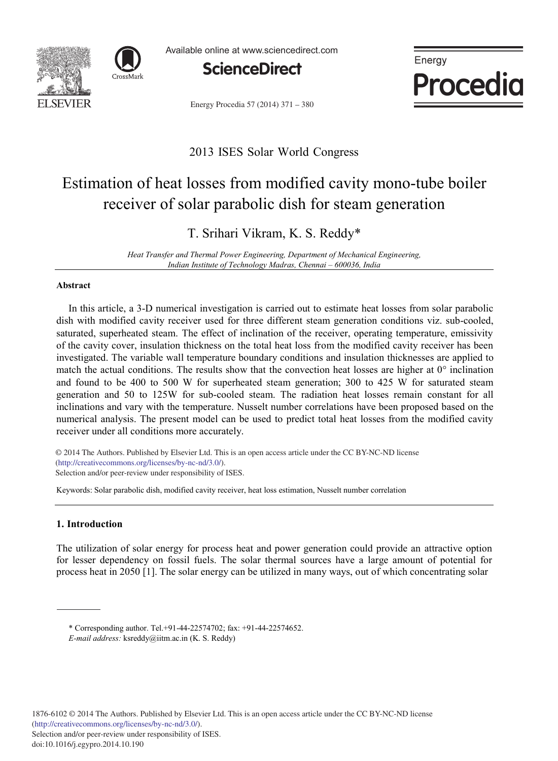



Available online at www.sciencedirect.com



Energy Procedia 57 (2014) 371 - 380



# 2013 ISES Solar World Congress

# Estimation of heat losses from modified cavity mono-tube boiler receiver of solar parabolic dish for steam generation

# T. Srihari Vikram, K. S. Reddy\*

*Heat Transfer and Thermal Power Engineering, Department of Mechanical Engineering, Indian Institute of Technology Madras, Chennai* – 600036, India

# **Abstract**

In this article, a 3-D numerical investigation is carried out to estimate heat losses from solar parabolic dish with modified cavity receiver used for three different steam generation conditions viz. sub-cooled, saturated, superheated steam. The effect of inclination of the receiver, operating temperature, emissivity of the cavity cover, insulation thickness on the total heat loss from the modified cavity receiver has been investigated. The variable wall temperature boundary conditions and insulation thicknesses are applied to match the actual conditions. The results show that the convection heat losses are higher at  $0^{\circ}$  inclination and found to be 400 to 500 W for superheated steam generation; 300 to 425 W for saturated steam generation and 50 to 125W for sub-cooled steam. The radiation heat losses remain constant for all inclinations and vary with the temperature. Nusselt number correlations have been proposed based on the numerical analysis. The present model can be used to predict total heat losses from the modified cavity receiver under all conditions more accurately.

© 2013 The Authors. Published by Elsevier Ltd. © 2014 The Authors. Published by Elsevier Ltd. This is an open access article under the CC BY-NC-ND license (http://creativecommons.org/licenses/by-nc-nd/3.0/). Selection and/or peer-review under responsibility of ISES.

Keywords: Solar parabolic dish, modified cavity receiver, heat loss estimation, Nusselt number correlation

# **1. Introduction**

The utilization of solar energy for process heat and power generation could provide an attractive option for lesser dependency on fossil fuels. The solar thermal sources have a large amount of potential for process heat in 2050 [1]. The solar energy can be utilized in many ways, out of which concentrating solar

\* Corresponding author. Tel.+91-44-22574702; fax: +91-44-22574652.

*E-mail address:* ksreddy@iitm.ac.in (K. S. Reddy)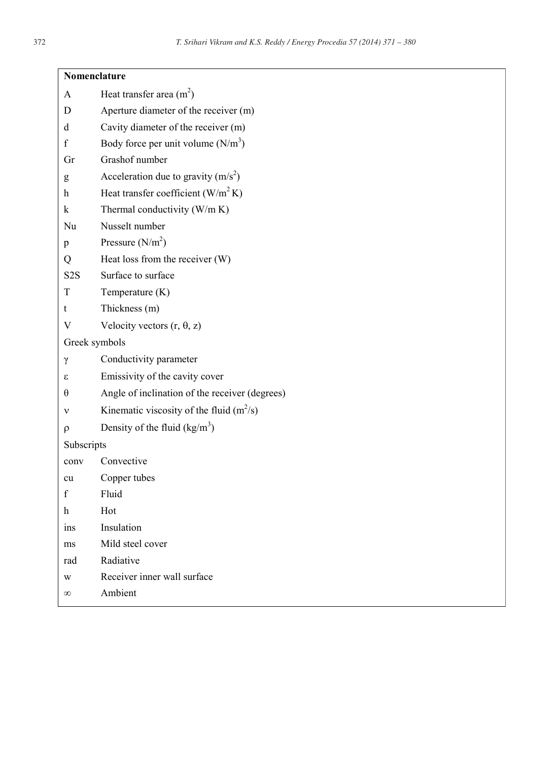| Nomenclature     |                                                |
|------------------|------------------------------------------------|
| A                | Heat transfer area $(m2)$                      |
| D                | Aperture diameter of the receiver (m)          |
| d                | Cavity diameter of the receiver (m)            |
| f                | Body force per unit volume $(N/m^3)$           |
| Gr               | Grashof number                                 |
| g                | Acceleration due to gravity $(m/s^2)$          |
| h                | Heat transfer coefficient $(W/m^2 K)$          |
| k                | Thermal conductivity (W/m K)                   |
| Nu               | Nusselt number                                 |
| p                | Pressure $(N/m2)$                              |
| Q                | Heat loss from the receiver (W)                |
| S <sub>2</sub> S | Surface to surface                             |
| T                | Temperature (K)                                |
| t                | Thickness (m)                                  |
| V                | Velocity vectors $(r, \theta, z)$              |
| Greek symbols    |                                                |
| γ                | Conductivity parameter                         |
| ε                | Emissivity of the cavity cover                 |
| θ                | Angle of inclination of the receiver (degrees) |
| ν                | Kinematic viscosity of the fluid $(m^2/s)$     |
| ρ                | Density of the fluid $(kg/m^3)$                |
| Subscripts       |                                                |
| conv             | Convective                                     |
| cu               | Copper tubes                                   |
| f                | Fluid                                          |
| h                | Hot                                            |
| ins              | Insulation                                     |
| ms               | Mild steel cover                               |
| rad              | Radiative                                      |
| W                | Receiver inner wall surface                    |
| $\infty$         | Ambient                                        |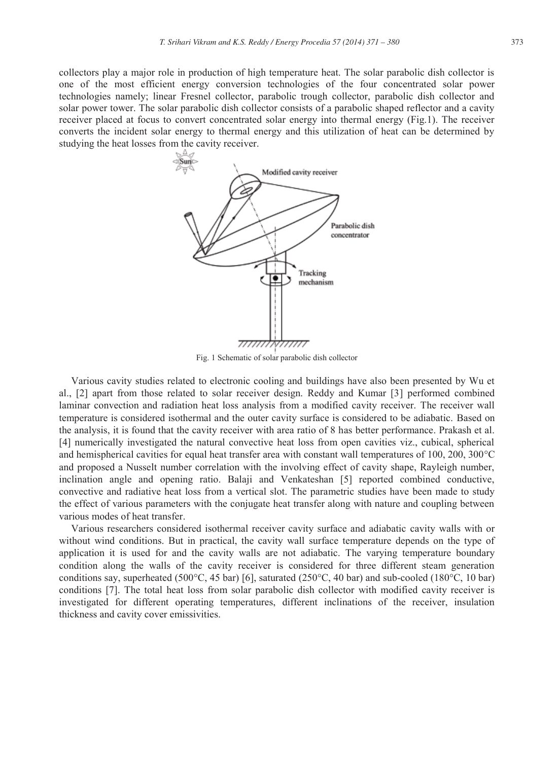collectors play a major role in production of high temperature heat. The solar parabolic dish collector is one of the most efficient energy conversion technologies of the four concentrated solar power technologies namely; linear Fresnel collector, parabolic trough collector, parabolic dish collector and solar power tower. The solar parabolic dish collector consists of a parabolic shaped reflector and a cavity receiver placed at focus to convert concentrated solar energy into thermal energy (Fig.1). The receiver converts the incident solar energy to thermal energy and this utilization of heat can be determined by studying the heat losses from the cavity receiver.



Fig. 1 Schematic of solar parabolic dish collector

Various cavity studies related to electronic cooling and buildings have also been presented by Wu et al., [2] apart from those related to solar receiver design. Reddy and Kumar [3] performed combined laminar convection and radiation heat loss analysis from a modified cavity receiver. The receiver wall temperature is considered isothermal and the outer cavity surface is considered to be adiabatic. Based on the analysis, it is found that the cavity receiver with area ratio of 8 has better performance. Prakash et al. [4] numerically investigated the natural convective heat loss from open cavities viz., cubical, spherical and hemispherical cavities for equal heat transfer area with constant wall temperatures of 100, 200,  $300^{\circ}$ C and proposed a Nusselt number correlation with the involving effect of cavity shape, Rayleigh number, inclination angle and opening ratio. Balaji and Venkateshan [5] reported combined conductive, convective and radiative heat loss from a vertical slot. The parametric studies have been made to study the effect of various parameters with the conjugate heat transfer along with nature and coupling between various modes of heat transfer.

Various researchers considered isothermal receiver cavity surface and adiabatic cavity walls with or without wind conditions. But in practical, the cavity wall surface temperature depends on the type of application it is used for and the cavity walls are not adiabatic. The varying temperature boundary condition along the walls of the cavity receiver is considered for three different steam generation conditions say, superheated (500 $^{\circ}$ C, 45 bar) [6], saturated (250 $^{\circ}$ C, 40 bar) and sub-cooled (180 $^{\circ}$ C, 10 bar) conditions [7]. The total heat loss from solar parabolic dish collector with modified cavity receiver is investigated for different operating temperatures, different inclinations of the receiver, insulation thickness and cavity cover emissivities.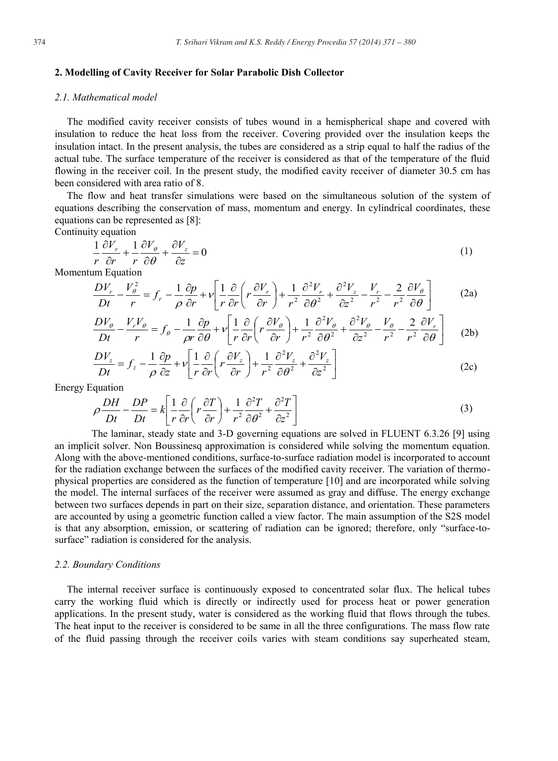#### **2. Modelling of Cavity Receiver for Solar Parabolic Dish Collector**

#### *2.1. Mathematical model*

The modified cavity receiver consists of tubes wound in a hemispherical shape and covered with insulation to reduce the heat loss from the receiver. Covering provided over the insulation keeps the insulation intact. In the present analysis, the tubes are considered as a strip equal to half the radius of the actual tube. The surface temperature of the receiver is considered as that of the temperature of the fluid flowing in the receiver coil. In the present study, the modified cavity receiver of diameter 30.5 cm has been considered with area ratio of 8.

The flow and heat transfer simulations were based on the simultaneous solution of the system of equations describing the conservation of mass, momentum and energy. In cylindrical coordinates, these equations can be represented as [8]:

Continuity equation

$$
\frac{1}{r}\frac{\partial V_r}{\partial r} + \frac{1}{r}\frac{\partial V_\theta}{\partial \theta} + \frac{\partial V_z}{\partial z} = 0
$$
\n(1)

Momentum Equation

$$
\frac{DV_r}{Dt} - \frac{V_\theta^2}{r} = f_r - \frac{1}{\rho} \frac{\partial p}{\partial r} + v \left[ \frac{1}{r} \frac{\partial}{\partial r} \left( r \frac{\partial V_r}{\partial r} \right) + \frac{1}{r^2} \frac{\partial^2 V_r}{\partial \theta^2} + \frac{\partial^2 V_z}{\partial z^2} - \frac{V_r}{r^2} - \frac{2}{r^2} \frac{\partial V_\theta}{\partial \theta} \right]
$$
(2a)

$$
\frac{DV_{\theta}}{Dt} - \frac{V_rV_{\theta}}{r} = f_{\theta} - \frac{1}{\rho r}\frac{\partial p}{\partial \theta} + v \left[ \frac{1}{r}\frac{\partial}{\partial r} \left( r \frac{\partial V_{\theta}}{\partial r} \right) + \frac{1}{r^2} \frac{\partial^2 V_{\theta}}{\partial \theta^2} + \frac{\partial^2 V_{\theta}}{\partial z^2} - \frac{V_{\theta}}{r^2} - \frac{2}{r^2} \frac{\partial V_r}{\partial \theta} \right] \tag{2b}
$$

$$
\frac{DV_z}{Dt} = f_z - \frac{1}{\rho} \frac{\partial p}{\partial z} + v \left[ \frac{1}{r} \frac{\partial}{\partial r} \left( r \frac{\partial V_z}{\partial r} \right) + \frac{1}{r^2} \frac{\partial^2 V_z}{\partial \theta^2} + \frac{\partial^2 V_z}{\partial z^2} \right]
$$
(2c)

Energy Equation

$$
\rho \frac{DH}{Dt} - \frac{DP}{Dt} = k \left[ \frac{1}{r} \frac{\partial}{\partial r} \left( r \frac{\partial T}{\partial r} \right) + \frac{1}{r^2} \frac{\partial^2 T}{\partial \theta^2} + \frac{\partial^2 T}{\partial z^2} \right]
$$
(3)

The laminar, steady state and 3-D governing equations are solved in FLUENT 6.3.26 [9] using an implicit solver. Non Boussinesq approximation is considered while solving the momentum equation. Along with the above-mentioned conditions, surface-to-surface radiation model is incorporated to account for the radiation exchange between the surfaces of the modified cavity receiver. The variation of thermophysical properties are considered as the function of temperature [10] and are incorporated while solving the model. The internal surfaces of the receiver were assumed as gray and diffuse. The energy exchange between two surfaces depends in part on their size, separation distance, and orientation. These parameters are accounted by using a geometric function called a view factor. The main assumption of the S2S model is that any absorption, emission, or scattering of radiation can be ignored; therefore, only "surface-tosurface" radiation is considered for the analysis.

#### *2.2. Boundary Conditions*

The internal receiver surface is continuously exposed to concentrated solar flux. The helical tubes carry the working fluid which is directly or indirectly used for process heat or power generation applications. In the present study, water is considered as the working fluid that flows through the tubes. The heat input to the receiver is considered to be same in all the three configurations. The mass flow rate of the fluid passing through the receiver coils varies with steam conditions say superheated steam,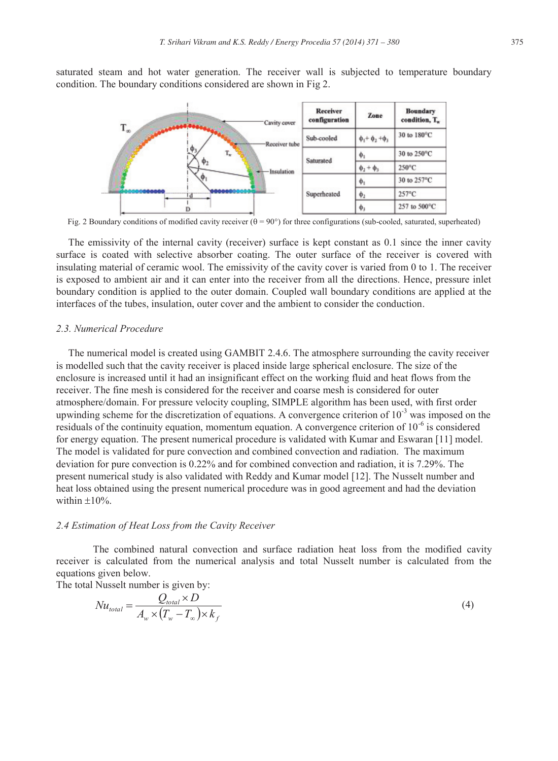saturated steam and hot water generation. The receiver wall is subjected to temperature boundary condition. The boundary conditions considered are shown in Fig 2.



Fig. 2 Boundary conditions of modified cavity receiver  $(\theta = 90^{\circ})$  for three configurations (sub-cooled, saturated, superheated)

The emissivity of the internal cavity (receiver) surface is kept constant as 0.1 since the inner cavity surface is coated with selective absorber coating. The outer surface of the receiver is covered with insulating material of ceramic wool. The emissivity of the cavity cover is varied from 0 to 1. The receiver is exposed to ambient air and it can enter into the receiver from all the directions. Hence, pressure inlet boundary condition is applied to the outer domain. Coupled wall boundary conditions are applied at the interfaces of the tubes, insulation, outer cover and the ambient to consider the conduction.

#### *2.3. Numerical Procedure*

The numerical model is created using GAMBIT 2.4.6. The atmosphere surrounding the cavity receiver is modelled such that the cavity receiver is placed inside large spherical enclosure. The size of the enclosure is increased until it had an insignificant effect on the working fluid and heat flows from the receiver. The fine mesh is considered for the receiver and coarse mesh is considered for outer atmosphere/domain. For pressure velocity coupling, SIMPLE algorithm has been used, with first order upwinding scheme for the discretization of equations. A convergence criterion of  $10^{-3}$  was imposed on the residuals of the continuity equation, momentum equation. A convergence criterion of 10-6 is considered for energy equation. The present numerical procedure is validated with Kumar and Eswaran [11] model. The model is validated for pure convection and combined convection and radiation. The maximum deviation for pure convection is 0.22% and for combined convection and radiation, it is 7.29%. The present numerical study is also validated with Reddy and Kumar model [12]. The Nusselt number and heat loss obtained using the present numerical procedure was in good agreement and had the deviation within  $\pm 10\%$ .

#### *2.4 Estimation of Heat Loss from the Cavity Receiver*

The combined natural convection and surface radiation heat loss from the modified cavity receiver is calculated from the numerical analysis and total Nusselt number is calculated from the equations given below.

The total Nusselt number is given by:

$$
Nu_{total} = \frac{Q_{total} \times D}{A_w \times (T_w - T_\infty) \times k_f}
$$
\n(4)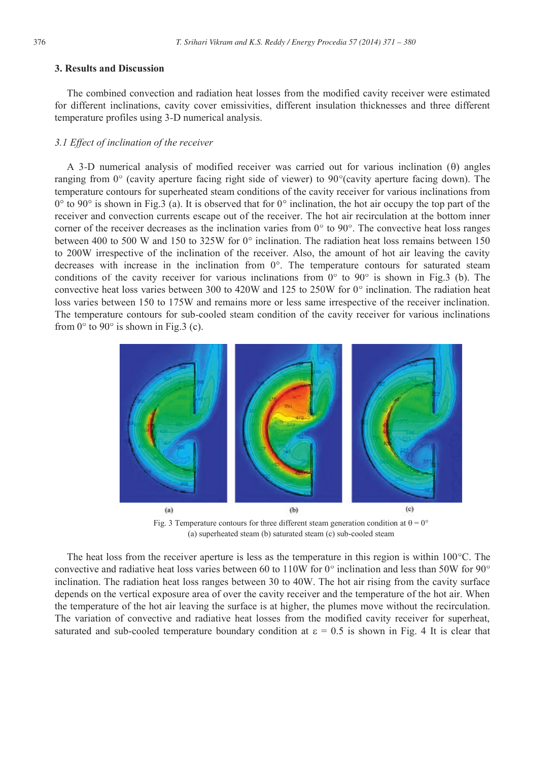#### **3. Results and Discussion**

The combined convection and radiation heat losses from the modified cavity receiver were estimated for different inclinations, cavity cover emissivities, different insulation thicknesses and three different temperature profiles using 3-D numerical analysis.

#### *3.1 Effect of inclination of the receiver*

A 3-D numerical analysis of modified receiver was carried out for various inclination  $(\theta)$  angles ranging from  $0^{\circ}$  (cavity aperture facing right side of viewer) to  $90^{\circ}$ (cavity aperture facing down). The temperature contours for superheated steam conditions of the cavity receiver for various inclinations from  $0^{\circ}$  to 90 $^{\circ}$  is shown in Fig.3 (a). It is observed that for  $0^{\circ}$  inclination, the hot air occupy the top part of the receiver and convection currents escape out of the receiver. The hot air recirculation at the bottom inner corner of the receiver decreases as the inclination varies from  $0^{\circ}$  to  $90^{\circ}$ . The convective heat loss ranges between 400 to 500 W and 150 to 325W for  $0^{\circ}$  inclination. The radiation heat loss remains between 150 to 200W irrespective of the inclination of the receiver. Also, the amount of hot air leaving the cavity decreases with increase in the inclination from  $0^{\circ}$ . The temperature contours for saturated steam conditions of the cavity receiver for various inclinations from  $0^{\circ}$  to  $90^{\circ}$  is shown in Fig.3 (b). The convective heat loss varies between 300 to 420W and 125 to 250W for  $0^{\circ}$  inclination. The radiation heat loss varies between 150 to 175W and remains more or less same irrespective of the receiver inclination. The temperature contours for sub-cooled steam condition of the cavity receiver for various inclinations from  $0^{\circ}$  to  $90^{\circ}$  is shown in Fig.3 (c).



Fig. 3 Temperature contours for three different steam generation condition at  $\theta = 0^{\circ}$ (a) superheated steam (b) saturated steam (c) sub-cooled steam

The heat loss from the receiver aperture is less as the temperature in this region is within  $100^{\circ}$ C. The convective and radiative heat loss varies between 60 to 110W for 0 $\degree$  inclination and less than 50W for 90 $\degree$ inclination. The radiation heat loss ranges between 30 to 40W. The hot air rising from the cavity surface depends on the vertical exposure area of over the cavity receiver and the temperature of the hot air. When the temperature of the hot air leaving the surface is at higher, the plumes move without the recirculation. The variation of convective and radiative heat losses from the modified cavity receiver for superheat, saturated and sub-cooled temperature boundary condition at  $\epsilon = 0.5$  is shown in Fig. 4 It is clear that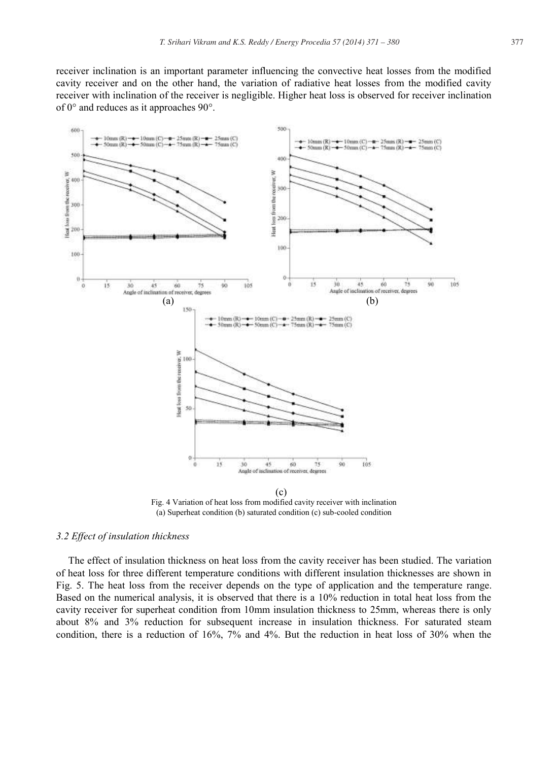receiver inclination is an important parameter influencing the convective heat losses from the modified cavity receiver and on the other hand, the variation of radiative heat losses from the modified cavity receiver with inclination of the receiver is negligible. Higher heat loss is observed for receiver inclination of  $0^{\circ}$  and reduces as it approaches  $90^{\circ}$ .



Fig. 4 Variation of heat loss from modified cavity receiver with inclination (a) Superheat condition (b) saturated condition (c) sub-cooled condition

# *3.2 Effect of insulation thickness*

The effect of insulation thickness on heat loss from the cavity receiver has been studied. The variation of heat loss for three different temperature conditions with different insulation thicknesses are shown in Fig. 5. The heat loss from the receiver depends on the type of application and the temperature range. Based on the numerical analysis, it is observed that there is a 10% reduction in total heat loss from the cavity receiver for superheat condition from 10mm insulation thickness to 25mm, whereas there is only about 8% and 3% reduction for subsequent increase in insulation thickness. For saturated steam condition, there is a reduction of 16%, 7% and 4%. But the reduction in heat loss of 30% when the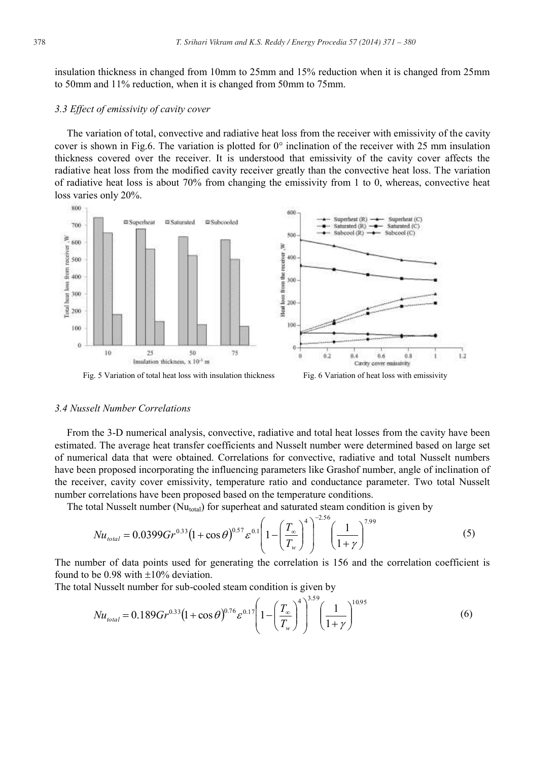insulation thickness in changed from 10mm to 25mm and 15% reduction when it is changed from 25mm to 50mm and 11% reduction, when it is changed from 50mm to 75mm.

#### *3.3 Effect of emissivity of cavity cover*

The variation of total, convective and radiative heat loss from the receiver with emissivity of the cavity cover is shown in Fig.6. The variation is plotted for  $0^{\circ}$  inclination of the receiver with 25 mm insulation thickness covered over the receiver. It is understood that emissivity of the cavity cover affects the radiative heat loss from the modified cavity receiver greatly than the convective heat loss. The variation of radiative heat loss is about 70% from changing the emissivity from 1 to 0, whereas, convective heat loss varies only 20%.



#### *3.4 Nusselt Number Correlations*

From the 3-D numerical analysis, convective, radiative and total heat losses from the cavity have been estimated. The average heat transfer coefficients and Nusselt number were determined based on large set of numerical data that were obtained. Correlations for convective, radiative and total Nusselt numbers have been proposed incorporating the influencing parameters like Grashof number, angle of inclination of the receiver, cavity cover emissivity, temperature ratio and conductance parameter. Two total Nusselt number correlations have been proposed based on the temperature conditions.

The total Nusselt number ( $Nu<sub>total</sub>$ ) for superheat and saturated steam condition is given by

$$
Nu_{\text{total}} = 0.0399 Gr^{0.33} \left(1 + \cos \theta\right)^{0.57} \varepsilon^{0.1} \left(1 - \left(\frac{T_{\infty}}{T_w}\right)^4\right)^{-2.56} \left(\frac{1}{1 + \gamma}\right)^{7.99} \tag{5}
$$

The number of data points used for generating the correlation is 156 and the correlation coefficient is found to be 0.98 with  $\pm 10\%$  deviation.

The total Nusselt number for sub-cooled steam condition is given by

$$
Nu_{total} = 0.189 Gr^{0.33} (1 + \cos \theta)^{0.76} \varepsilon^{0.17} \left( 1 - \left( \frac{T_{\infty}}{T_w} \right)^4 \right)^{3.59} \left( \frac{1}{1 + \gamma} \right)^{10.95}
$$
(6)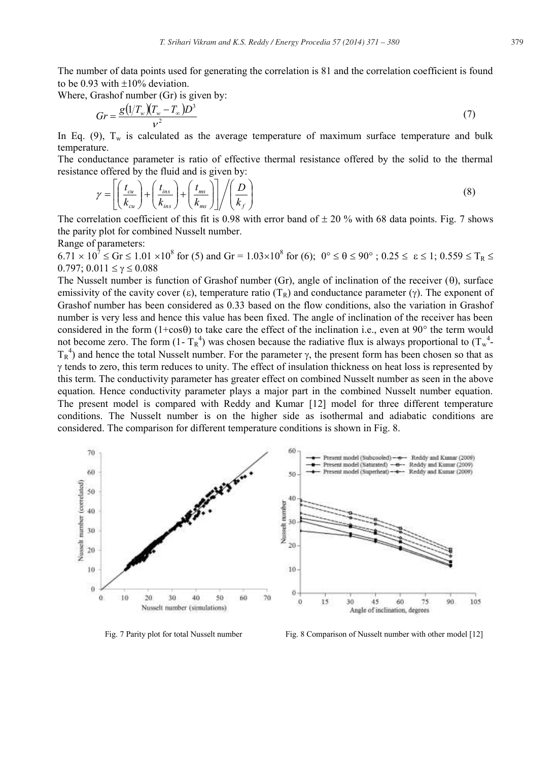The number of data points used for generating the correlation is 81 and the correlation coefficient is found to be 0.93 with  $\pm 10\%$  deviation.

Where, Grashof number (Gr) is given by:

$$
Gr = \frac{g\left(\frac{1}{T_w}\right)\left(\frac{T_w - T_\infty}{\nu^2}\right)D^3}{\nu^2} \tag{7}
$$

In Eq. (9),  $T_w$  is calculated as the average temperature of maximum surface temperature and bulk temperature.

The conductance parameter is ratio of effective thermal resistance offered by the solid to the thermal resistance offered by the fluid and is given by:

$$
\gamma = \left[ \left( \frac{t_{cu}}{k_{cu}} \right) + \left( \frac{t_{ins}}{k_{ins}} \right) + \left( \frac{t_{ms}}{k_{ms}} \right) \right] / \left( \frac{D}{k_f} \right) \tag{8}
$$

The correlation coefficient of this fit is 0.98 with error band of  $\pm$  20 % with 68 data points. Fig. 7 shows the parity plot for combined Nusselt number.

Range of parameters:

 $6.71 \times 10^7 \le Gr \le 1.01 \times 10^8$  for (5) and  $Gr = 1.03 \times 10^8$  for (6);  $0^\circ \le \theta \le 90^\circ$ ;  $0.25 \le \epsilon \le 1$ ;  $0.559 \le T_R \le 1$  $0.797$ ;  $0.011 \le \gamma \le 0.088$ 

The Nusselt number is function of Grashof number  $(Gr)$ , angle of inclination of the receiver  $(0)$ , surface emissivity of the cavity cover ( $\varepsilon$ ), temperature ratio ( $T_R$ ) and conductance parameter ( $\gamma$ ). The exponent of Grashof number has been considered as 0.33 based on the flow conditions, also the variation in Grashof number is very less and hence this value has been fixed. The angle of inclination of the receiver has been considered in the form  $(1+\cos\theta)$  to take care the effect of the inclination i.e., even at 90 $^{\circ}$  the term would not become zero. The form  $(1 - T_R^4)$  was chosen because the radiative flux is always proportional to  $(T_w^4 - T_R^4)$  $T_R^4$ ) and hence the total Nusselt number. For the parameter  $\gamma$ , the present form has been chosen so that as  $\gamma$  tends to zero, this term reduces to unity. The effect of insulation thickness on heat loss is represented by this term. The conductivity parameter has greater effect on combined Nusselt number as seen in the above equation. Hence conductivity parameter plays a major part in the combined Nusselt number equation. The present model is compared with Reddy and Kumar [12] model for three different temperature conditions. The Nusselt number is on the higher side as isothermal and adiabatic conditions are considered. The comparison for different temperature conditions is shown in Fig. 8.



Fig. 7 Parity plot for total Nusselt number Fig. 8 Comparison of Nusselt number with other model [12]